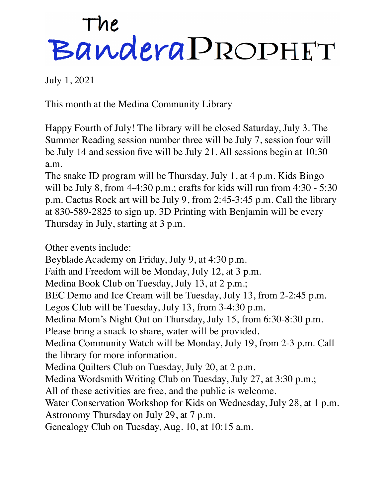## The<br>Bandera PROPHET

July 1, 2021

This month at the Medina Community Library

Happy Fourth of July! The library will be closed Saturday, July 3. The Summer Reading session number three will be July 7, session four will be July 14 and session five will be July 21. All sessions begin at 10:30 a.m.

The snake ID program will be Thursday, July 1, at 4 p.m. Kids Bingo will be July 8, from 4-4:30 p.m.; crafts for kids will run from 4:30 - 5:30 p.m. Cactus Rock art will be July 9, from 2:45-3:45 p.m. Call the library at 830-589-2825 to sign up. 3D Printing with Benjamin will be every Thursday in July, starting at 3 p.m.

Other events include:

Beyblade Academy on Friday, July 9, at 4:30 p.m.

Faith and Freedom will be Monday, July 12, at 3 p.m.

Medina Book Club on Tuesday, July 13, at 2 p.m.;

BEC Demo and Ice Cream will be Tuesday, July 13, from 2-2:45 p.m.

Legos Club will be Tuesday, July 13, from 3-4:30 p.m.

Medina Mom's Night Out on Thursday, July 15, from 6:30-8:30 p.m.

Please bring a snack to share, water will be provided.

Medina Community Watch will be Monday, July 19, from 2-3 p.m. Call the library for more information.

Medina Quilters Club on Tuesday, July 20, at 2 p.m.

Medina Wordsmith Writing Club on Tuesday, July 27, at 3:30 p.m.;

All of these activities are free, and the public is welcome.

Water Conservation Workshop for Kids on Wednesday, July 28, at 1 p.m. Astronomy Thursday on July 29, at 7 p.m.

Genealogy Club on Tuesday, Aug. 10, at 10:15 a.m.